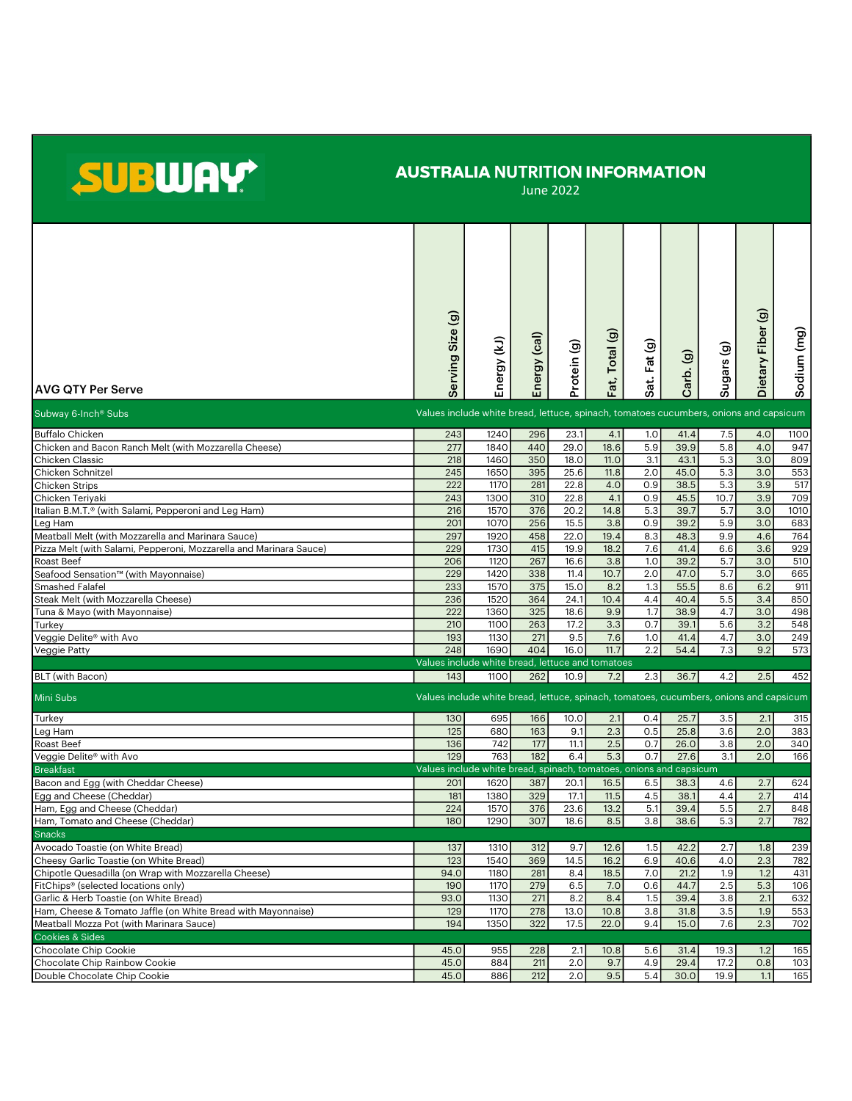## SUBWAY

## AUSTRALIA NUTRITION INFORMATION

June 2022

|                                                                               | ම                                                                                      |                     |              |              |             |             |              |             |                   |             |
|-------------------------------------------------------------------------------|----------------------------------------------------------------------------------------|---------------------|--------------|--------------|-------------|-------------|--------------|-------------|-------------------|-------------|
|                                                                               |                                                                                        |                     |              |              |             |             |              |             |                   |             |
|                                                                               | erving Size                                                                            |                     |              |              | Total (g)   |             |              |             |                   |             |
|                                                                               |                                                                                        |                     |              |              |             | at. Fat (g) |              |             |                   |             |
|                                                                               |                                                                                        |                     |              |              |             |             |              |             |                   |             |
| <b>AVG QTY Per Serve</b>                                                      |                                                                                        | Energy (kJ)         | Energy (cal) | Protein (g)  | Fat,        |             | Carb. (g)    | Sugars (g)  | Dietary Fiber (g) | Sodium (mg) |
|                                                                               | Ō                                                                                      |                     |              |              |             | ഗ           |              |             |                   |             |
| Subway 6-Inch <sup>®</sup> Subs                                               | Values include white bread, lettuce, spinach, tomatoes cucumbers, onions and capsicum  |                     |              |              |             |             |              |             |                   |             |
| <b>Buffalo Chicken</b>                                                        | 243                                                                                    | 1240                | 296          | 23.1         | 4.1         | 1.0         | 41.4         | 7.5         | 4.0               | 1100        |
| Chicken and Bacon Ranch Melt (with Mozzarella Cheese)                         | 277                                                                                    | 1840                | 440          | 29.0         | 18.6        | 5.9         | 39.9         | 5.8         | 4.0               | 947         |
| Chicken Classic                                                               | 218                                                                                    | 1460                | 350          | 18.0         | 11.0        | 3.1         | 43.1         | 5.3         | 3.0               | 809         |
| Chicken Schnitzel                                                             | 245                                                                                    | 1650                | 395          | 25.6         | 11.8        | 2.0         | 45.0         | 5.3         | 3.0               | 553         |
| <b>Chicken Strips</b>                                                         | 222                                                                                    | 1170                | 281          | 22.8         | 4.0         | 0.9         | 38.5         | 5.3         | 3.9               | 517         |
| Chicken Teriyaki<br>Italian B.M.T.® (with Salami, Pepperoni and Leg Ham)      | 243<br>216                                                                             | 1300<br>1570        | 310<br>376   | 22.8<br>20.2 | 4.1<br>14.8 | 0.9<br>5.3  | 45.5<br>39.7 | 10.7<br>5.7 | 3.9<br>3.0        | 709<br>1010 |
| Leg Ham                                                                       | 201                                                                                    | 1070                | 256          | 15.5         | 3.8         | 0.9         | 39.2         | 5.9         | 3.0               | 683         |
| Meatball Melt (with Mozzarella and Marinara Sauce)                            | 297                                                                                    | 1920                | 458          | 22.0         | 19.4        | 8.3         | 48.3         | 9.9         | 4.6               | 764         |
| Pizza Melt (with Salami, Pepperoni, Mozzarella and Marinara Sauce)            | 229                                                                                    | 1730                | 415          | 19.9         | 18.2        | 7.6         | 41.4         | 6.6         | 3.6               | 929         |
| <b>Roast Beef</b>                                                             | 206                                                                                    | 1120                | 267          | 16.6         | 3.8         | 1.0         | 39.2         | 5.7         | 3.0               | 510         |
| Seafood Sensation™ (with Mayonnaise)                                          | 229                                                                                    | 1420                | 338          | 11.4         | 10.7        | 2.0         | 47.0         | 5.7         | 3.0               | 665         |
| Smashed Falafel                                                               | 233                                                                                    | 1570                | 375          | 15.0         | 8.2         | 1.3         | 55.5         | 8.6         | 6.2               | 911         |
| Steak Melt (with Mozzarella Cheese)                                           | 236                                                                                    | 1520                | 364          | 24.1         | 10.4        | 4.4         | 40.4         | 5.5         | 3.4               | 850         |
| Tuna & Mayo (with Mayonnaise)                                                 | 222                                                                                    | 1360                | 325          | 18.6         | 9.9         | 1.7         | 38.9         | 4.7         | 3.0               | 498         |
| Turkey                                                                        | 210<br>193                                                                             | 1100<br>1130        | 263<br>271   | 17.2<br>9.5  | 3.3<br>7.6  | 0.7<br>1.0  | 39.1<br>41.4 | 5.6<br>4.7  | 3.2<br>3.0        | 548<br>249  |
| Veggie Delite® with Avo<br>Veggie Patty                                       | 248                                                                                    | 1690                | 404          | 16.0         | 11.7        | 2.2         | 54.4         | 7.3         | 9.2               | 573         |
|                                                                               | Values include white bread, lettuce and tomatoes                                       |                     |              |              |             |             |              |             |                   |             |
| BLT (with Bacon)                                                              | 143                                                                                    | 1100                | 262          | 10.9         | 7.2         | 2.3         | 36.7         | 4.2         | 2.5               | 452         |
| Mini Subs                                                                     | Values include white bread, lettuce, spinach, tomatoes, cucumbers, onions and capsicum |                     |              |              |             |             |              |             |                   |             |
|                                                                               |                                                                                        |                     |              |              |             |             |              |             |                   |             |
| Turkey                                                                        | 130                                                                                    | 695                 | 166          | 10.0         | 2.1         | 0.4         | 25.7         | 3.5         | 2.1               | 315         |
| Leg Ham                                                                       | 125                                                                                    | 680                 | 163<br>177   | 9.1<br>11.1  | 2.3         | 0.5         | 25.8<br>26.0 | 3.6         | 2.0               | 383<br>340  |
| Roast Beef<br>Veggie Delite® with Avo                                         | 136<br>129                                                                             | 742<br>763          | 182          | 6.4          | 2.5<br>5.3  | 0.7<br>0.7  | 27.6         | 3.8<br>3.1  | 2.0<br>2.0        | 166         |
| <b>Breakfast</b>                                                              | Values include white bread, spinach, tomatoes, onions and capsicum                     |                     |              |              |             |             |              |             |                   |             |
| Bacon and Egg (with Cheddar Cheese)                                           | 201                                                                                    | 1620                | 387          | 20.1         | 16.5        | 6.5         | 38.3         | 4.6         | 2.7               | 624         |
| Egg and Cheese (Cheddar)                                                      | 181                                                                                    | 1380                | 329          | 17.1         | 11.5        | 4.5         | 38.1         | 4.4         | 2.7               | 414         |
| Ham, Egg and Cheese (Cheddar)                                                 | 224                                                                                    | 1570                | 376          | 23.6         | 13.2        | 5.1         | 39.4         | 5.5         | 2.7               | 848         |
| Ham, Tomato and Cheese (Cheddar)                                              | 180                                                                                    | 1290                | 307          | 18.6         | 8.5         | 3.8         | 38.6         | 5.3         | 2.7               | 782         |
| <b>Snacks</b>                                                                 |                                                                                        |                     |              |              |             |             |              |             |                   |             |
| Avocado Toastie (on White Bread)                                              | 137                                                                                    | 1310                | 312          | 9.7          | 12.6        | 1.5         | 42.2         | 2.7         | 1.8               | 239         |
| Cheesy Garlic Toastie (on White Bread)                                        | 123                                                                                    | 1540                | 369          | 14.5         | 16.2        | 6.9         | 40.6         | 4.0         | 2.3               | 782         |
| Chipotle Quesadilla (on Wrap with Mozzarella Cheese)                          | 94.0                                                                                   | 1180                | 281          | 8.4          | 18.5        | 7.0         | 21.2         | 1.9         | 1.2               | 431         |
| FitChips® (selected locations only)<br>Garlic & Herb Toastie (on White Bread) | 190<br>93.0                                                                            | <b>1170</b><br>1130 | 279<br>271   | 6.5<br>8.2   | 7.0<br>8.4  | 0.6<br>1.5  | 44.7<br>39.4 | 2.5<br>3.8  | 5.3<br>2.1        | 106<br>632  |
| Ham, Cheese & Tomato Jaffle (on White Bread with Mayonnaise)                  | 129                                                                                    | 1170                | 278          | 13.0         | 10.8        | 3.8         | 31.8         | 3.5         | 1.9               | 553         |
| Meatball Mozza Pot (with Marinara Sauce)                                      | 194                                                                                    | 1350                | 322          | 17.5         | 22.0        | 9.4         | 15.0         | 7.6         | 2.3               | 702         |
| Cookies & Sides                                                               |                                                                                        |                     |              |              |             |             |              |             |                   |             |
| Chocolate Chip Cookie                                                         | 45.0                                                                                   | 955                 | 228          | 2.1          | 10.8        | 5.6         | 31.4         | 19.3        | 1.2               | 165         |
| Chocolate Chip Rainbow Cookie                                                 | 45.0                                                                                   | 884                 | 211          | 2.0          | 9.7         | 4.9         | 29.4         | 17.2        | 0.8               | 103         |
| Double Chocolate Chip Cookie                                                  | 45.0                                                                                   | 886                 | 212          | 2.0          | 9.5         | 5.4         | 30.0         | 19.9        | 1.1               | 165         |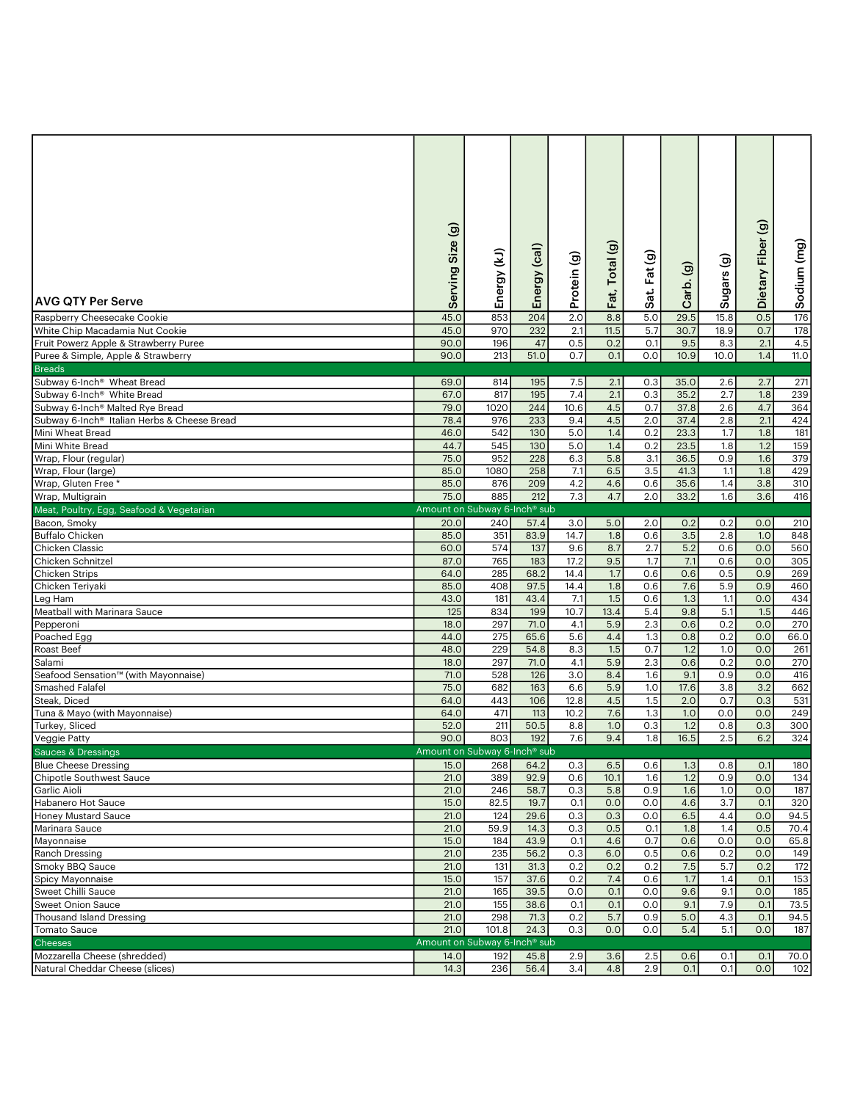| <b>AVG QTY Per Serve</b>                                | ම<br>Size<br>Serving                     | Energy (kJ) | Energy (cal) | Protein (g) | Total (g)<br>Fat, | Sat. Fat (g) | $\widehat{\mathbf{e}}$<br>Carb. | ම<br>Sugars | Dietary Fiber (g) | Sodium (mg) |
|---------------------------------------------------------|------------------------------------------|-------------|--------------|-------------|-------------------|--------------|---------------------------------|-------------|-------------------|-------------|
| Raspberry Cheesecake Cookie                             | 45.0                                     | 853         | 204          | 2.0         | 8.8               | 5.0          | 29.5                            | 15.8        | 0.5               | 176         |
| White Chip Macadamia Nut Cookie                         | 45.0                                     | 970         | 232          | 2.1         | 11.5              | 5.7          | 30.7                            | 18.9        | 0.7               | 178         |
| Fruit Powerz Apple & Strawberry Puree                   | 90.0                                     | 196         | 47           | 0.5         | 0.2               | 0.1          | 9.5                             | 8.3         | 2.1               | 4.5         |
| Puree & Simple, Apple & Strawberry                      | 90.0                                     | 213         | 51.0         | 0.7         | 0.1               | 0.0          | 10.9                            | 10.0        | 1.4               | 11.0        |
| <b>Breads</b>                                           |                                          |             |              |             |                   |              |                                 |             |                   |             |
| Subway 6-Inch <sup>®</sup> Wheat Bread                  | 69.0                                     | 814         | 195          | 7.5         | 2.1               | 0.3          | 35.0                            | 2.6         | 2.7               | 271         |
| Subway 6-Inch <sup>®</sup> White Bread                  | 67.0                                     | 817         | 195          | 7.4         | 2.1               | 0.3          | 35.2                            | 2.7         | 1.8               | 239         |
| Subway 6-Inch <sup>®</sup> Malted Rye Bread             | 79.0                                     | 1020        | 244          | 10.6        | 4.5               | 0.7          | 37.8                            | 2.6         | 4.7               | 364         |
| Subway 6-Inch <sup>®</sup> Italian Herbs & Cheese Bread | 78.4                                     | 976         | 233          | 9.4         | 4.5               | 2.0          | 37.4                            | 2.8         | 2.1               | 424         |
| Mini Wheat Bread                                        | 46.0                                     | 542         | 130          | 5.0         | 1.4               | 0.2          | 23.3                            | 1.7         | 1.8               | 181         |
| Mini White Bread                                        | 44.7                                     | 545         | 130          | 5.0         | 1.4               | 0.2          | 23.5                            | 1.8         | 1.2               | 159         |
| Wrap, Flour (regular)                                   | 75.0                                     | 952         | 228          | 6.3         | 5.8               | 3.1          | 36.5                            | 0.9         | 1.6               | 379         |
| Wrap, Flour (large)                                     | 85.0                                     | 1080        | 258          | 7.1         | 6.5               | 3.5          | 41.3                            | 1.1         | 1.8               | 429         |
| Wrap, Gluten Free *                                     | 85.0                                     | 876         | 209          | 4.2         | 4.6               | 0.6          | 35.6                            | 1.4         | 3.8               | 310         |
| Wrap, Multigrain                                        | 75.0                                     | 885         | 212          | 7.3         | 4.7               | 2.0          | 33.2                            | 1.6         | 3.6               | 416         |
| Meat, Poultry, Egg, Seafood & Vegetarian                | Amount on Subway 6-Inch <sup>®</sup> sub |             |              |             |                   |              |                                 |             |                   |             |
| Bacon, Smoky                                            | 20.0                                     | 240         | 57.4         | 3.0         | 5.0               | 2.0          | 0.2                             | 0.2         | 0.0               | 210         |
| <b>Buffalo Chicken</b>                                  | 85.0                                     | 351         | 83.9         | 14.7        | 1.8               | 0.6          | 3.5                             | 2.8         | 1.0               | 848         |
| Chicken Classic                                         | 60.0                                     | 574         | 137          | 9.6         | 8.7               | 2.7          | 5.2                             | 0.6         | 0.0               | 560         |
| Chicken Schnitzel                                       | 87.0                                     | 765         | 183          | 17.2        | 9.5               | 1.7          | 7.1                             | 0.6         | 0.0               | 305         |
| <b>Chicken Strips</b>                                   | 64.0                                     | 285         | 68.2         | 14.4        | 1.7               | 0.6          | 0.6                             | 0.5         | 0.9               | 269         |
| Chicken Teriyaki                                        | 85.0                                     | 408         | 97.5         | 14.4        | 1.8               | 0.6          | 7.6                             | 5.9         | 0.9               | 460         |
| Leg Ham                                                 | 43.0                                     | 181         | 43.4         | 7.1         | 1.5               | 0.6          | 1.3                             | 1.1         | 0.0               | 434         |
| Meatball with Marinara Sauce                            | 125                                      | 834         | 199          | 10.7        | 13.4              | 5.4          | 9.8                             | 5.1         | 1.5               | 446         |
| Pepperoni                                               | 18.0                                     | 297         | 71.0         | 4.1         | 5.9               | 2.3          | 0.6                             | 0.2         | 0.0               | 270         |
| Poached Egg                                             | 44.0                                     | 275         | 65.6         | 5.6         | 4.4               | 1.3          | 0.8                             | 0.2         | 0.0               | 66.0        |
| Roast Beef                                              | 48.0                                     | 229         | 54.8         | 8.3         | 1.5               | 0.7          | 1.2                             | 1.0         | 0.0               | 261         |
| Salami                                                  | 18.0                                     | 297         | 71.0         | 4.1         | 5.9               | 2.3          | 0.6                             | 0.2         | 0.0               | 270         |
| Seafood Sensation™ (with Mayonnaise)                    | 71.0                                     | 528         | 126          | 3.0         | 8.4               | 1.6          | 9.1                             | 0.9         | 0.0               | 416         |
| Smashed Falafel                                         | 75.0                                     | 682         | 163          | 6.6         | 5.9               | 1.0          | 17.6                            | 3.8         | 3.2               | 662         |
| Steak, Diced                                            | 64.0                                     | 443         | 106          | 12.8        | 4.5               | 1.5<br>1.3   | 2.0                             | 0.7         | 0.3<br>0.0        | 531         |
| Tuna & Mayo (with Mayonnaise)                           | 64.0<br>52.0                             | 471<br>211  | 113<br>50.5  | 10.2<br>8.8 | 7.6<br>1.0        | 0.3          | 1.0<br>1.2                      | 0.0<br>0.8  | 0.3               | 249<br>300  |
| Turkey, Sliced<br>Veggie Patty                          | 90.0                                     | 803         | 192          | 7.6         | 9.4               | 1.8          | 16.5                            | 2.5         | 6.2               | 324         |
| <b>Sauces &amp; Dressings</b>                           | Amount on Subway 6-Inch <sup>®</sup> sub |             |              |             |                   |              |                                 |             |                   |             |
| <b>Blue Cheese Dressing</b>                             | 15.0                                     | 268         | 64.2         | 0.3         | 6.5               | 0.6          | 1.3                             | 0.8         | 0.1               | 180         |
| Chipotle Southwest Sauce                                | 21.0                                     | 389         | 92.9         | 0.6         | 10.1              | 1.6          | 1.2                             | 0.9         | 0.0               | 134         |
| Garlic Aioli                                            | 21.0                                     | 246         | 58.7         | 0.3         | 5.8               | 0.9          | 1.6                             | 1.0         | 0.0               | 187         |
| Habanero Hot Sauce                                      | 15.0                                     | 82.5        | 19.7         | 0.1         | 0.0               | 0.0          | 4.6                             | 3.7         | 0.1               | 320         |
| <b>Honey Mustard Sauce</b>                              | 21.0                                     | 124         | 29.6         | 0.3         | 0.3               | 0.0          | 6.5                             | 4.4         | 0.0               | 94.5        |
| Marinara Sauce                                          | 21.0                                     | 59.9        | 14.3         | 0.3         | 0.5               | 0.1          | 1.8                             | 1.4         | 0.5               | 70.4        |
| Mayonnaise                                              | 15.0                                     | 184         | 43.9         | 0.1         | 4.6               | 0.7          | 0.6                             | 0.0         | 0.0               | 65.8        |
| Ranch Dressing                                          | 21.0                                     | 235         | 56.2         | 0.3         | 6.0               | 0.5          | 0.6                             | 0.2         | 0.0               | 149         |
| Smoky BBQ Sauce                                         | 21.0                                     | 131         | 31.3         | 0.2         | 0.2               | 0.2          | 7.5                             | 5.7         | 0.2               | 172         |
| Spicy Mayonnaise                                        | 15.0                                     | 157         | 37.6         | 0.2         | 7.4               | 0.6          | 1.7                             | 1.4         | 0.1               | 153         |
| Sweet Chilli Sauce                                      | 21.0                                     | 165         | 39.5         | 0.0         | 0.1               | 0.0          | 9.6                             | 9.1         | 0.0               | 185         |
| <b>Sweet Onion Sauce</b>                                | 21.0                                     | 155         | 38.6         | 0.1         | 0.1               | 0.0          | 9.1                             | 7.9         | 0.1               | 73.5        |
| Thousand Island Dressing                                | 21.0                                     | 298         | 71.3         | 0.2         | 5.7               | 0.9          | 5.0                             | 4.3         | O.1               | 94.5        |
| Tomato Sauce                                            | 21.0                                     | 101.8       | 24.3         | 0.3         | 0.0               | 0.0          | 5.4                             | 5.1         | 0.0               | 187         |
| Cheeses                                                 | Amount on Subway 6-Inch <sup>®</sup> sub |             |              |             |                   |              |                                 |             |                   |             |
| Mozzarella Cheese (shredded)                            | 14.0                                     | 192         | 45.8         | 2.9         | 3.6               | 2.5          | 0.6                             | 0.1         | 0.1               | 70.0        |
| Natural Cheddar Cheese (slices)                         | 14.3                                     | 236         | 56.4         | 3.4         | 4.8               | 2.9          | 0.1                             | 0.1         | 0.0               | 102         |
|                                                         |                                          |             |              |             |                   |              |                                 |             |                   |             |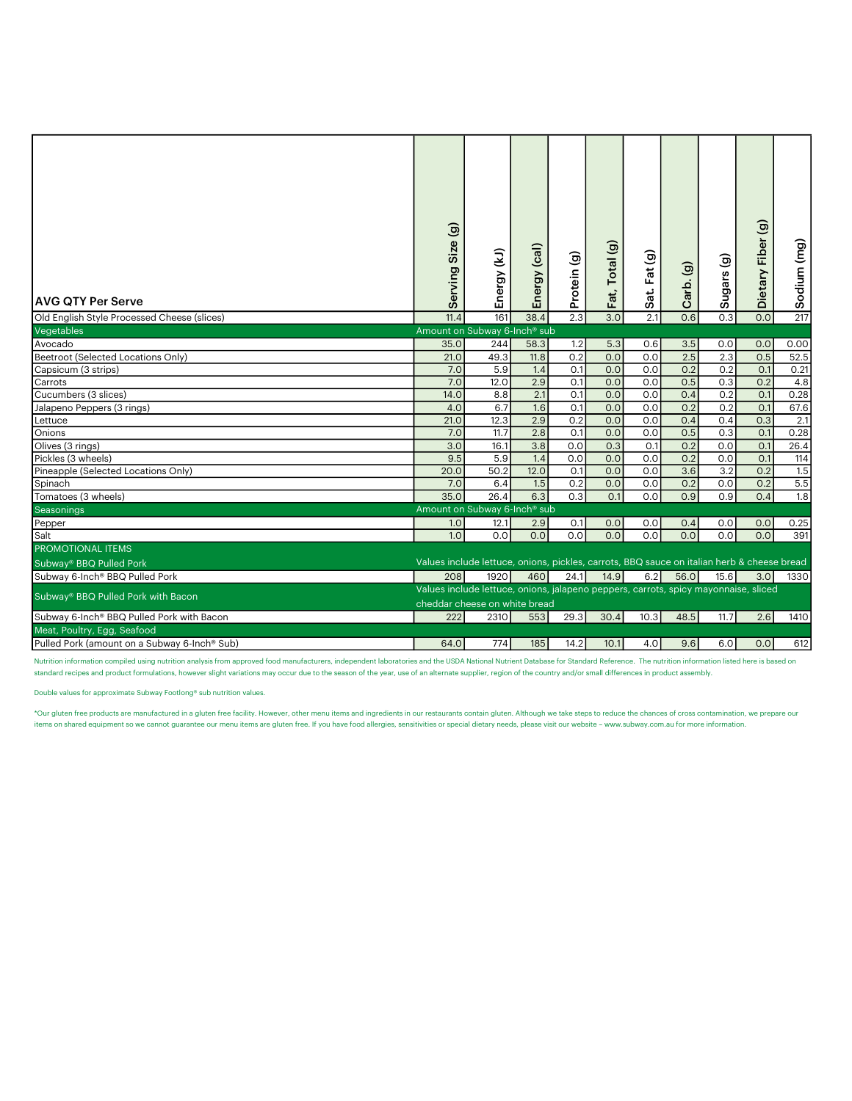| <b>AVG QTY Per Serve</b><br>Old English Style Processed Cheese (slices) | Size(g)<br>Serving<br>11.4                                                                                           | Energy (kJ)<br>161 | Energy (cal)<br>38.4 | Protein (g)<br>$\overline{2.3}$ | Total (g)<br>Fat,<br>3.0 | Sat. Fat (g)<br>2.1 | Carb. (g)<br>0.6 | Sugars (g)<br>0.3 | Dietary Fiber (g)<br>0.0 | Sodium (mg)<br>217 |  |
|-------------------------------------------------------------------------|----------------------------------------------------------------------------------------------------------------------|--------------------|----------------------|---------------------------------|--------------------------|---------------------|------------------|-------------------|--------------------------|--------------------|--|
| Vegetables                                                              | Amount on Subway 6-Inch <sup>®</sup> sub                                                                             |                    |                      |                                 |                          |                     |                  |                   |                          |                    |  |
| Avocado                                                                 | 35.0                                                                                                                 | 244                | 58.3                 | 1.2                             | 5.3                      | 0.6                 | 3.5              | 0.0               | 0.0                      | 0.00               |  |
| Beetroot (Selected Locations Only)                                      | 21.0                                                                                                                 | 49.3               | 11.8                 | $\overline{0.2}$                | 0.0                      | 0.0                 | 2.5              | 2.3               | 0.5                      | 52.5               |  |
| Capsicum (3 strips)                                                     | 7.0                                                                                                                  | 5.9                | 1.4                  | O.1                             | 0.0                      | 0.0                 | 0.2              | 0.2               | O.1                      | 0.21               |  |
| Carrots                                                                 | 7.0                                                                                                                  | 12.0               | 2.9                  | 0.1                             | 0.0                      | 0.0                 | 0.5              | 0.3               | 0.2                      | 4.8                |  |
| Cucumbers (3 slices)                                                    | 14.0                                                                                                                 | 8.8                | 2.1                  | O.1                             | 0.0                      | 0.0                 | 0.4              | 0.2               | 0.1                      | 0.28               |  |
| Jalapeno Peppers (3 rings)                                              | 4.0                                                                                                                  | 6.7                | 1.6                  | 0.1                             | 0.0                      | 0.0                 | 0.2              | 0.2               | O.1                      | 67.6               |  |
| Lettuce                                                                 | 21.0                                                                                                                 | 12.3               | 2.9                  | 0.2                             | 0.0                      | 0.0                 | 0.4              | 0.4               | 0.3                      | 2.1                |  |
| Onions                                                                  | 7.0                                                                                                                  | 11.7               | 2.8                  | O.1                             | 0.0                      | 0.0                 | 0.5              | 0.3               | O.1                      | 0.28               |  |
| Olives (3 rings)                                                        | 3.0                                                                                                                  | 16.1               | 3.8                  | 0.0                             | 0.3                      | O.1                 | 0.2              | 0.0               | O.1                      | 26.4               |  |
| Pickles (3 wheels)                                                      | 9.5                                                                                                                  | 5.9                | 1.4                  | 0.0                             | 0.0                      | 0.0                 | 0.2              | 0.0               | 0.1                      | 114                |  |
| Pineapple (Selected Locations Only)                                     | 20.0                                                                                                                 | 50.2               | 12.0                 | O.1                             | 0.0                      | 0.0                 | 3.6              | $\overline{3.2}$  | 0.2                      | 1.5                |  |
| Spinach                                                                 | 7.0                                                                                                                  | 6.4                | 1.5                  | 0.2                             | 0.0                      | 0.0                 | 0.2              | 0.0               | 0.2                      | 5.5                |  |
| Tomatoes (3 wheels)                                                     | 35.0                                                                                                                 | 26.4               | 6.3                  | 0.3                             | O.1                      | 0.0                 | 0.9              | 0.9               | 0.4                      | 1.8                |  |
| Seasonings                                                              | Amount on Subway 6-Inch <sup>®</sup> sub                                                                             |                    |                      |                                 |                          |                     |                  |                   |                          |                    |  |
| Pepper                                                                  | 1.0                                                                                                                  | 12.1               | 2.9                  | 0.1                             | 0.0                      | 0.0                 | 0.4              | 0.0               | 0.0                      | 0.25               |  |
| Salt                                                                    | 1.0                                                                                                                  | 0.0                | 0.0                  | 0.0                             | 0.0                      | 0.0                 | 0.0              | 0.0               | 0.0                      | 391                |  |
| <b>PROMOTIONAL ITEMS</b>                                                |                                                                                                                      |                    |                      |                                 |                          |                     |                  |                   |                          |                    |  |
| Subway <sup>®</sup> BBQ Pulled Pork                                     | Values include lettuce, onions, pickles, carrots, BBQ sauce on italian herb & cheese bread                           |                    |                      |                                 |                          |                     |                  |                   |                          |                    |  |
| Subway 6-Inch® BBQ Pulled Pork                                          | 208                                                                                                                  | 1920               | 460                  | 24.1                            | 14.9                     | 6.2                 | 56.0             | 15.6              | 3.0                      | 1330               |  |
| Subway® BBQ Pulled Pork with Bacon                                      | Values include lettuce, onions, jalapeno peppers, carrots, spicy mayonnaise, sliced<br>cheddar cheese on white bread |                    |                      |                                 |                          |                     |                  |                   |                          |                    |  |
| Subway 6-Inch <sup>®</sup> BBQ Pulled Pork with Bacon                   | 222                                                                                                                  | 2310               | 553                  | 29.3                            | 30.4                     | 10.3                | 48.5             | 11.7              | 2.6                      | 1410               |  |
| Meat, Poultry, Egg, Seafood                                             |                                                                                                                      |                    |                      |                                 |                          |                     |                  |                   |                          |                    |  |
| Pulled Pork (amount on a Subway 6-Inch® Sub)                            | 64.0                                                                                                                 | 774                | 185                  | 14.2                            | 10.1                     | 4.0                 | 9.6              | 6.0               | 0.0                      | 612                |  |

Nutrition information compiled using nutrition analysis from approved food manufacturers, independent laboratories and the USDA National Nutrient Database for Standard Reference. The nutrition information listed here is ba standard recipes and product formulations, however slight variations may occur due to the season of the year, use of an alternate supplier, region of the country and/or small differences in product assembly.

Double values for approximate Subway Footlong® sub nutrition values.

\*Our gluten free products are manufactured in a gluten free facility. However, other menu items and ingredients in our restaurants contain gluten. Although we take steps to reduce the chances of cross contamination, we pre items on shared equipment so we cannot guarantee our menu items are gluten free. If you have food allergies, sensitivities or special dietary needs, please visit our website – www.subway.com.au for more information.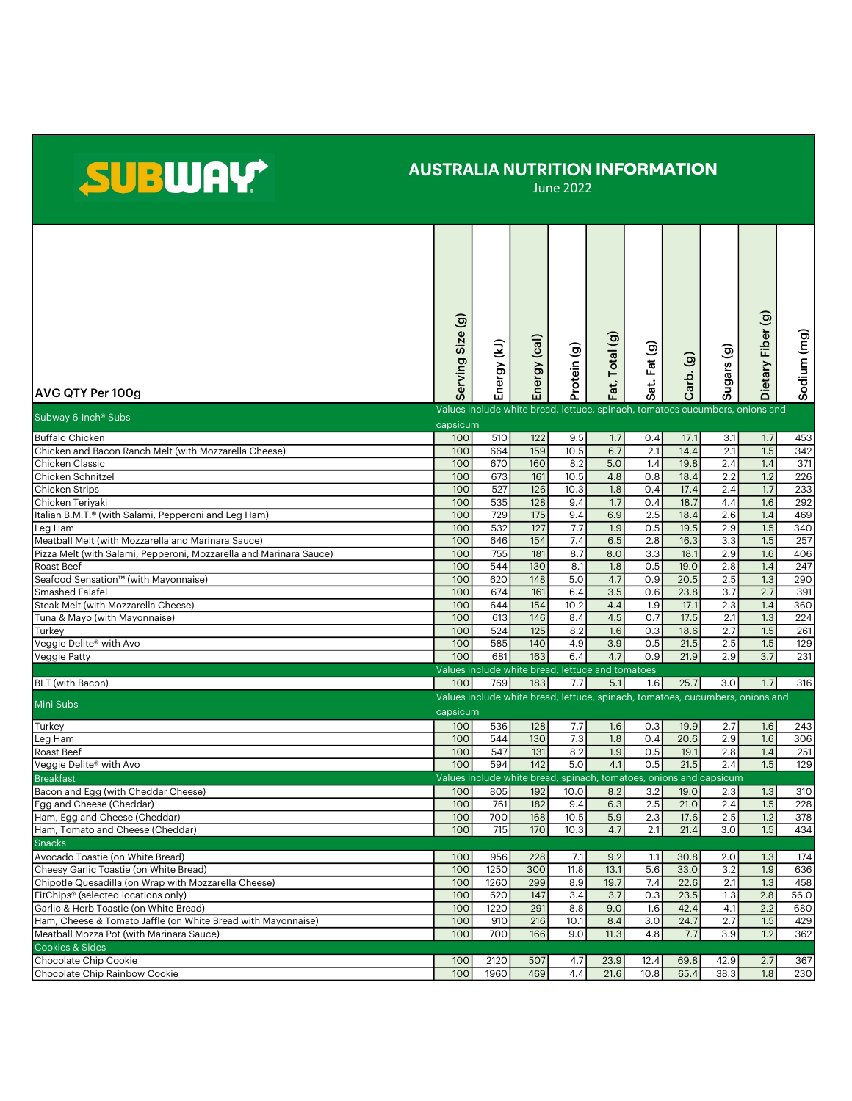## SUBWAY

## AUSTRALIA NUTRITION INFORMATION

June 2022

|                                                                    | erving Size (g) |             |                            |             | Fat, Total (g)                                                                |             |           |            | Dietary Fiber (g) | Sodium (mg) |
|--------------------------------------------------------------------|-----------------|-------------|----------------------------|-------------|-------------------------------------------------------------------------------|-------------|-----------|------------|-------------------|-------------|
|                                                                    |                 | Energy (kJ) | Energy (cal)               | Protein (g) |                                                                               | at. Fat (g) | Carb. (g) | Sugars (g) |                   |             |
| AVG QTY Per 100g                                                   | ທ               |             |                            |             |                                                                               | ഗ           |           |            |                   |             |
| Subway 6-Inch <sup>®</sup> Subs                                    | capsicum        |             |                            |             | Values include white bread, lettuce, spinach, tomatoes cucumbers, onions and  |             |           |            |                   |             |
| <b>Buffalo Chicken</b>                                             | 100             | 510         | 122                        | 9.5         | 1.7                                                                           | 0.4         | 17.1      | 3.1        | 1.7               | 453         |
| Chicken and Bacon Ranch Melt (with Mozzarella Cheese)              | 100             | 664         | 159                        | 10.5        | 6.7                                                                           | 2.1         | 14.4      | 2.1        | 1.5               | 342         |
| Chicken Classic                                                    | 100             | 670         | 160                        | 8.2         | 5.0                                                                           | 1.4         | 19.8      | 2.4        | 1.4               | 371         |
| Chicken Schnitzel                                                  | 100             | 673         | 161                        | 10.5        | 4.8                                                                           | 0.8         | 18.4      | 2.2        | 1.2               | 226         |
| <b>Chicken Strips</b>                                              | 100             | 527         | 126                        | 10.3        | 1.8                                                                           | 0.4         | 17.4      | 2.4        | 1.7               | 233         |
| Chicken Teriyaki                                                   | 100             | 535         | 128                        | 9.4         | 1.7                                                                           | 0.4         | 18.7      | 4.4        | 1.6               | 292         |
| Italian B.M.T. <sup>®</sup> (with Salami, Pepperoni and Leg Ham)   | 100             | 729         | 175                        | 9.4         | 6.9                                                                           | 2.5         | 18.4      | 2.6        | 1.4               | 469         |
| Leg Ham                                                            | 100             | 532         | 127                        | 7.7         | 1.9                                                                           | 0.5         | 19.5      | 2.9        | 1.5               | 340         |
| Meatball Melt (with Mozzarella and Marinara Sauce)                 | 100             | 646         | 154                        | 7.4         | 6.5                                                                           | 2.8         | 16.3      | 3.3        | 1.5               | 257         |
| Pizza Melt (with Salami, Pepperoni, Mozzarella and Marinara Sauce) | 100             | 755         | 181                        | 8.7         | 8.0                                                                           | 3.3         | 18.1      | 2.9        | 1.6               | 406         |
| Roast Beef                                                         | 100             | 544         | 130                        | 8.1         | 1.8                                                                           | 0.5         | 19.0      | 2.8        | 1.4               | 247         |
| Seafood Sensation™ (with Mayonnaise)                               | 100             | 620         | 148                        | 5.0         | 4.7                                                                           | 0.9         | 20.5      | 2.5        | 1.3               | 290         |
| Smashed Falafel                                                    | 100             | 674         | 161                        | 6.4         | 3.5                                                                           | 0.6         | 23.8      | 3.7        | 2.7               | 391         |
| Steak Melt (with Mozzarella Cheese)                                | 100             | 644         | 154                        | 10.2        | 4.4                                                                           | 1.9         | 17.1      | 2.3        | 1.4               | 360         |
| Tuna & Mayo (with Mayonnaise)                                      | 100             | 613         | 146                        | 8.4         | 4.5                                                                           | 0.7         | 17.5      | 2.1        | 1.3               | 224         |
| Turkey                                                             | 100             | 524         | 125                        | 8.2         | 1.6                                                                           | 0.3         | 18.6      | 2.7        | 1.5               | 261         |
| Veggie Delite® with Avo                                            | 100             | 585         | 140                        | 4.9         | 3.9                                                                           | 0.5         | 21.5      | 2.5        | 1.5               | 129         |
| Veggie Patty                                                       | 100             | 681         | 163                        | 6.4         | 4.7                                                                           | 0.9         | 21.9      | 2.9        | 3.7               | 231         |
|                                                                    |                 |             | Values include white bread |             | lettuce and tomatoes                                                          |             |           |            |                   |             |
| BLT (with Bacon)                                                   | 100             | 769         | 183                        | 7.7         | 5.1                                                                           | 1.6         | 25.7      | 3.0        | 1.7               | 316         |
|                                                                    |                 |             |                            |             | Values include white bread, lettuce, spinach, tomatoes, cucumbers, onions and |             |           |            |                   |             |
| Mini Subs                                                          | capsicum        |             |                            |             |                                                                               |             |           |            |                   |             |
| Turkey                                                             | 100             | 536         | 128                        | 7.7         | 1.6                                                                           | 0.3         | 19.9      | 2.7        | 1.6               | 243         |
| Leg Ham                                                            | 100             | 544         | 130                        | 7.3         | 1.8                                                                           | 0.4         | 20.6      | 2.9        | 1.6               | 306         |
| Roast Beef                                                         | 100             | 547         | 131                        | 8.2         | 1.9                                                                           | 0.5         | 19.1      | 2.8        | 1.4               | 251         |
| Veggie Delite® with Avo                                            | 100             | 594         | 142                        | 5.0         | 4.1                                                                           | 0.5         | 21.5      | 2.4        | 1.5               | 129         |
| <b>Breakfast</b>                                                   |                 |             |                            |             | Values include white bread, spinach, tomatoes, onions and capsicum            |             |           |            |                   |             |
| Bacon and Egg (with Cheddar Cheese)                                | 100             | 805         | 192                        | 10.0        | 8.2                                                                           | 3.2         | 19.0      | 2.3        | 1.3               | 310         |
| Egg and Cheese (Cheddar)                                           | 100             | 761         | 182                        | 9.4         | 6.3                                                                           | 2.5         | 21.0      | 2.4        | 1.5               | 228         |
| Ham, Egg and Cheese (Cheddar)                                      | 100             | 700         | 168                        | 10.5        | 5.9                                                                           | 2.3         | 17.6      | 2.5        | 1.2               | 378         |
| Ham, Tomato and Cheese (Cheddar)                                   | 100             | 715         | 170                        | 10.3        | 4.7                                                                           | 2.1         | 21.4      | 3.0        | 1.5               | 434         |
| <b>Snacks</b>                                                      |                 |             |                            |             |                                                                               |             |           |            |                   |             |
| Avocado Toastie (on White Bread)                                   | 100             | 956         | 228                        | 7.1         | 9.2                                                                           | 1.1         | 30.8      | 2.0        | 1.3               | 174         |
| Cheesy Garlic Toastie (on White Bread)                             | 100             | 1250        | 300                        | 11.8        | 13.1                                                                          | 5.6         | 33.0      | 3.2        | 1.9               | 636         |
| Chipotle Quesadilla (on Wrap with Mozzarella Cheese)               | 100             | 1260        | 299                        | 8.9         | 19.7                                                                          | 7.4         | 22.6      | 2.1        | 1.3               | 458         |
| FitChips <sup>®</sup> (selected locations only)                    | 100             | 620         | 147                        | 3.4         | 3.7                                                                           | 0.3         | 23.5      | 1.3        | 2.8               | 56.0        |
| Garlic & Herb Toastie (on White Bread)                             | 100             | 1220        | 291                        | 8.8         | 9.0                                                                           | 1.6         | 42.4      | 4.1        | 2.2               | 680         |
| Ham, Cheese & Tomato Jaffle (on White Bread with Mayonnaise)       | 100             | 910         | 216                        | 10.1        | 8.4                                                                           | 3.0         | 24.7      | 2.7        | 1.5               | 429         |
| Meatball Mozza Pot (with Marinara Sauce)                           | 100             | 700         | 166                        | 9.0         | 11.3                                                                          | 4.8         | 7.7       | 3.9        | 1.2               | 362         |
| Cookies & Sides                                                    |                 |             |                            |             |                                                                               |             |           |            |                   |             |
|                                                                    |                 |             |                            |             |                                                                               |             |           |            |                   |             |
| Chocolate Chip Cookie                                              | 100             | 2120        | 507                        | 4.7         | 23.9                                                                          | 12.4        | 69.8      | 42.9       | 2.7               | 367         |
| Chocolate Chip Rainbow Cookie                                      | 100             | 1960        | 469                        | 4.4         | 21.6                                                                          | 10.8        | 65.4      | 38.3       | 1.8               | 230         |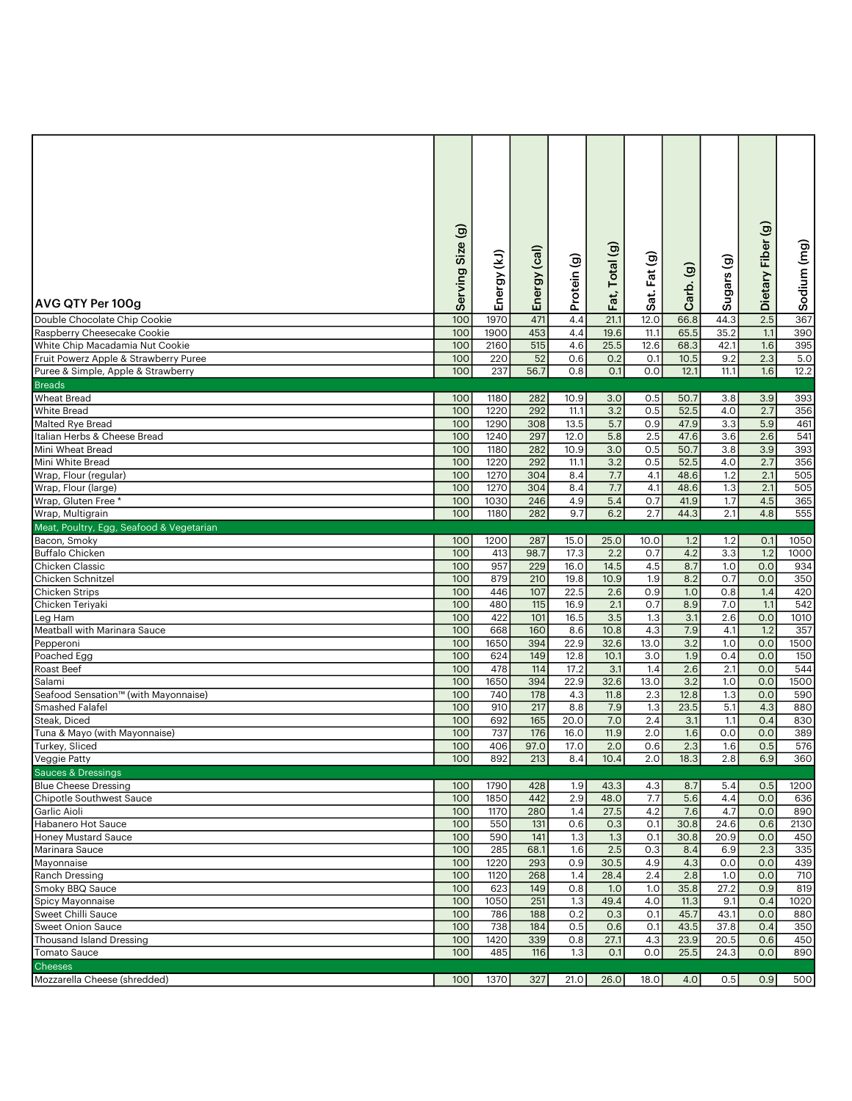| <b>AVG QTY Per 100g</b>                  | Size(g)<br>Serving | Energy (kJ) | Energy (cal) | Protein (g) | Fat, Total (g) | Sat. Fat (g) | $\widehat{\mathbf{e}}$<br>Carb. | Sugars (g)       | Dietary Fiber (g) | Sodium (mg)      |
|------------------------------------------|--------------------|-------------|--------------|-------------|----------------|--------------|---------------------------------|------------------|-------------------|------------------|
| Double Chocolate Chip Cookie             | 10 <sub>C</sub>    | 1970        | 471          | 4.4         | 21.1           | 12.0         | 66.8                            | 44.3             | $\overline{2.5}$  | 367              |
| Raspberry Cheesecake Cookie              | 100                | 1900        | 453          | 4.4         | 19.6           | 11.1         | 65.5                            | 35.2             | 1.1               | 390              |
| White Chip Macadamia Nut Cookie          | 100                | 2160        | 515          | 4.6         | 25.5           | 12.6         | 68.3                            | 42.1             | 1.6               | 395              |
| Fruit Powerz Apple & Strawberry Puree    | 100                | 220         | 52           | 0.6         | 0.2            | 0.1          | 10.5                            | 9.2              | 2.3               | 5.0              |
| Puree & Simple, Apple & Strawberry       | 100                | 237         | 56.7         | 0.8         | 0.1            | 0.0          | 12.1                            | 11.1             | 1.6               | 12.2             |
| <b>Breads</b>                            |                    |             |              |             |                |              |                                 |                  |                   |                  |
| <b>Wheat Bread</b>                       | 100                | 1180        | 282          | 10.9        | 3.0            | 0.5          | 50.7                            | 3.8              | 3.9               | 393              |
| <b>White Bread</b>                       | 100                | 1220        | 292          | 11.1        | 3.2            | 0.5          | 52.5                            | 4.0              | 2.7               | 356              |
| Malted Rye Bread                         | 100                | 1290        | 308          | 13.5        | 5.7            | 0.9          | 47.9                            | 3.3              | 5.9               | 461              |
| Italian Herbs & Cheese Bread             | 100                | 1240        | 297          | 12.0        | 5.8            | 2.5          | 47.6                            | 3.6              | 2.6               | 541              |
| Mini Wheat Bread                         | 100                | 1180        | 282          | 10.9        | 3.0            | 0.5          | 50.7                            | 3.8              | 3.9               | 393              |
| Mini White Bread                         | 100                | 1220        | 292          |             | 3.2            | 0.5          | 52.5                            | 4.0              | 2.7               | 356              |
|                                          | 100                | 1270        | 304          | 11.1        |                |              |                                 |                  | 2.1               | 505              |
| Wrap, Flour (regular)                    |                    |             |              | 8.4         | 7.7<br>7.7     | 4.1          | 48.6                            | 1.2              |                   |                  |
| Wrap, Flour (large)                      | 100                | 1270        | 304          | 8.4         |                | 4.1          | 48.6                            | 1.3              | 2.1               | 505              |
| Wrap, Gluten Free *                      | 100                | 1030        | 246          | 4.9         | 5.4            | 0.7          | 41.9                            | 1.7              | 4.5               | 365              |
| Wrap, Multigrain                         | 100                | 1180        | 282          | 9.7         | 6.2            | 2.7          | 44.3                            | 2.1              | 4.8               | 555              |
| Meat, Poultry, Egg, Seafood & Vegetarian |                    |             |              |             |                |              |                                 |                  |                   |                  |
| Bacon, Smoky                             | 100                | 1200        | 287          | 15.0        | 25.0           | 10.0         | 1.2                             | 1.2              | 0.1               | 1050             |
| <b>Buffalo Chicken</b>                   | 100                | 413         | 98.7         | 17.3        | 2.2            | 0.7          | 4.2                             | $\overline{3.3}$ | 1.2               | 1000             |
| Chicken Classic                          | 100                | 957         | 229          | 16.0        | 14.5           | 4.5          | 8.7                             | 1.0              | 0.0               | 934              |
| Chicken Schnitzel                        | 100                | 879         | 210          | 19.8        | 10.9           | 1.9          | 8.2                             | 0.7              | 0.0               | 350              |
| <b>Chicken Strips</b>                    | 100                | 446         | 107          | 22.5        | 2.6            | 0.9          | 1.0                             | 0.8              | 1.4               | 420              |
| Chicken Teriyaki                         | 100                | 480         | 115          | 16.9        | 2.1            | 0.7          | 8.9                             | 7.0              | 1.1               | 542              |
| Leg Ham                                  | 100                | 422         | 101          | 16.5        | 3.5            | 1.3          | 3.1                             | 2.6              | 0.0               | 1010             |
| Meatball with Marinara Sauce             | 100                | 668         | 160          | 8.6         | 10.8           | 4.3          | 7.9                             | 4.1              | 1.2               | 357              |
| Pepperoni                                | 100                | 1650        | 394          | 22.9        | 32.6           | 13.0         | 3.2                             | 1.0              | 0.0               | 1500             |
| Poached Egg                              | 100                | 624         | 149          | 12.8        | 10.1           | 3.0          | 1.9                             | 0.4              | 0.0               | 150              |
| Roast Beef                               | 100                | 478         | 114          | 17.2        | 3.1            | 1.4          | 2.6                             | 2.1              | 0.0               | 544              |
| Salami                                   | 100                | 1650        | 394          | 22.9        | 32.6           | 13.0         | 3.2                             | 1.0              | 0.0               | 1500             |
| Seafood Sensation™ (with Mayonnaise)     | 100                | 740         | 178          | 4.3         | 11.8           | 2.3          | 12.8                            | 1.3              | 0.0               | 590              |
| <b>Smashed Falafel</b>                   | 100                | 910         | 217          | 8.8         | 7.9            | 1.3          | 23.5                            | 5.1              | 4.3               | 880              |
| Steak, Diced                             | 100                | 692         | 165          | 20.0        | 7.0            | 2.4          | 3.1                             | 1.1              | 0.4               | 830              |
| Tuna & Mayo (with Mayonnaise)            | 100                | 737         | 176          | 16.0        | 11.9           | 2.0          | 1.6                             | 0.0              | 0.0               | 389              |
| Turkey, Sliced                           | 100                | 406         | 97.0         | 17.0        | 2.0            | 0.6          | 2.3                             | 1.6              | 0.5               | 576              |
| Veggie Patty                             | 100                | 892         | 213          | 8.4         | 10.4           | 2.0          | 18.3                            | 2.8              | 6.9               | 360              |
| <b>Sauces &amp; Dressings</b>            |                    |             |              |             |                |              |                                 |                  |                   |                  |
| <b>Blue Cheese Dressing</b>              | 100                | 1790        | 428          | 1.9         | 43.3           | 4.3          | 8.7                             | 5.4              | 0.5               | 1200             |
| Chipotle Southwest Sauce                 | 100                | 1850        | 442          | 2.9         | 48.0           | 7.7          | 5.6                             | 4.4              | 0.0               | 636              |
| Garlic Aioli                             | 100                | 1170        | 280          | 1.4         | 27.5           | 4.2          | 7.6                             | 4.7              | 0.0               | 890              |
| Habanero Hot Sauce                       | 100                | 550         | 131          | 0.6         | 0.3            | 0.1          | 30.8                            | 24.6             | 0.6               | 2130             |
| <b>Honey Mustard Sauce</b>               | 100                | 590         | 141          | 1.3         | 1.3            | 0.1          | 30.8                            | 20.9             | 0.0               | 450              |
| Marinara Sauce                           | 100                | 285         | 68.1         | 1.6         | 2.5            | 0.3          | 8.4                             | 6.9              | 2.3               | 335              |
| Mayonnaise                               | 100                | 1220        | 293          | 0.9         | 30.5           | 4.9          | 4.3                             | 0.0              | 0.0               | 439              |
| Ranch Dressing                           | 100                | 1120        | 268          | 1.4         | 28.4           | 2.4          | 2.8                             | 1.0              | 0.0               | $\overline{710}$ |
| Smoky BBQ Sauce                          | 100                | 623         | 149          | 0.8         | 1.0            | 1.0          | 35.8                            | 27.2             | 0.9               | 819              |
| Spicy Mayonnaise                         | 100                | 1050        | 251          | 1.3         | 49.4           | 4.0          | 11.3                            | 9.1              | 0.4               | 1020             |
| Sweet Chilli Sauce                       | 100                | 786         | 188          | 0.2         | 0.3            | 0.1          | 45.7                            | 43.1             | 0.0               | 880              |
| <b>Sweet Onion Sauce</b>                 | 100                | 738         | 184          | 0.5         | 0.6            | 0.1          | 43.5                            | 37.8             | 0.4               | 350              |
| <b>Thousand Island Dressing</b>          | 100                | 1420        | 339          | 0.8         | 27.1           | 4.3          | 23.9                            | 20.5             | 0.6               | 450              |
| <b>Tomato Sauce</b>                      | 100                | 485         | 116          | 1.3         | 0.1            | 0.0          | 25.5                            | 24.3             | 0.0               | 890              |
| <b>Cheeses</b>                           |                    |             |              |             |                |              |                                 |                  |                   |                  |
| Mozzarella Cheese (shredded)             | 100                | 1370        | 327          | 21.0        | 26.0           | 18.0         | 4.0                             | 0.5              | 0.9               | 500              |
|                                          |                    |             |              |             |                |              |                                 |                  |                   |                  |